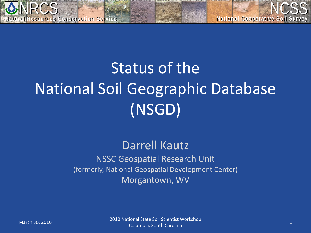

# Status of the National Soil Geographic Database (NSGD)

#### Darrell Kautz NSSC Geospatial Research Unit (formerly, National Geospatial Development Center) Morgantown, WV

March 30, 2010 1 2010 National State Soil Scientist Workshop 2010 1 2010 1 2010 1 2010 1 2010 1 2010 1 2011 1 201 Columbia, South Carolina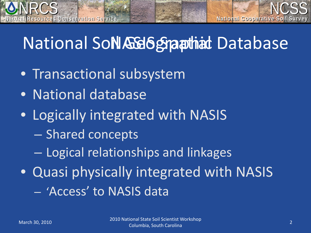

# National So**NAG6 Spatitist Database**

- Transactional subsystem
- National database

**Natural Resources Conservation Service Natural Resources Conservation Service**

- Logically integrated with NASIS
	- Shared concepts
	- Logical relationships and linkages
- Quasi physically integrated with NASIS – 'Access' to NASIS data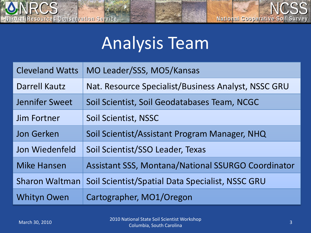

## Analysis Team

| <b>Cleveland Watts</b> | MO Leader/SSS, MO5/Kansas                                 |
|------------------------|-----------------------------------------------------------|
| <b>Darrell Kautz</b>   | Nat. Resource Specialist/Business Analyst, NSSC GRU       |
| Jennifer Sweet         | Soil Scientist, Soil Geodatabases Team, NCGC              |
| Jim Fortner            | Soil Scientist, NSSC                                      |
| <b>Jon Gerken</b>      | Soil Scientist/Assistant Program Manager, NHQ             |
| Jon Wiedenfeld         | Soil Scientist/SSO Leader, Texas                          |
| <b>Mike Hansen</b>     | <b>Assistant SSS, Montana/National SSURGO Coordinator</b> |
| <b>Sharon Waltman</b>  | Soil Scientist/Spatial Data Specialist, NSSC GRU          |
| <b>Whityn Owen</b>     | Cartographer, MO1/Oregon                                  |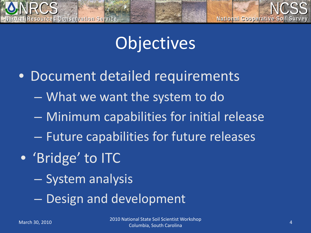

## **Objectives**

- Document detailed requirements
	- What we want the system to do
	- Minimum capabilities for initial release
	- Future capabilities for future releases
- 'Bridge' to ITC
	- System analysis
	- Design and development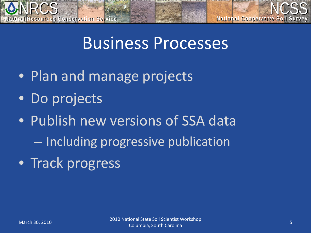

### Business Processes

- Plan and manage projects
- Do projects
- Publish new versions of SSA data – Including progressive publication
- Track progress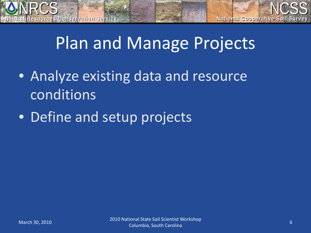

## Plan and Manage Projects

- Analyze existing data and resource conditions
- Define and setup projects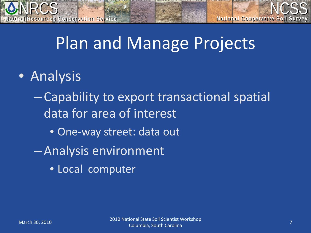

### Plan and Manage Projects

• Analysis

**Natural Resources Conservation Service Natural Resources Conservation Service**

- Capability to export transactional spatial data for area of interest
	- One-way street: data out
- Analysis environment
	- Local computer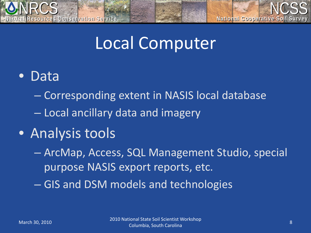

### Local Computer

### • Data

- Corresponding extent in NASIS local database
- Local ancillary data and imagery

### • Analysis tools

– ArcMap, Access, SQL Management Studio, special purpose NASIS export reports, etc.

– GIS and DSM models and technologies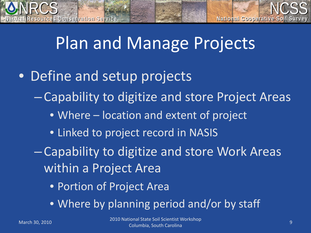

### Plan and Manage Projects

- Define and setup projects
	- Capability to digitize and store Project Areas
		- Where location and extent of project
		- Linked to project record in NASIS
	- Capability to digitize and store Work Areas within a Project Area
		- Portion of Project Area
		- Where by planning period and/or by staff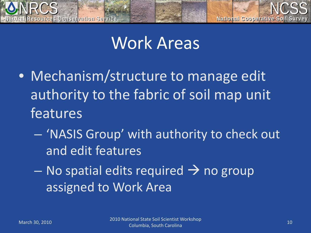

### Work Areas

- Mechanism/structure to manage edit authority to the fabric of soil map unit features
	- 'NASIS Group' with authority to check out and edit features
	- $-$  No spatial edits required  $\rightarrow$  no group assigned to Work Area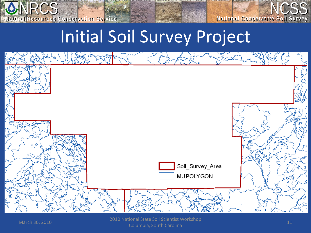

**National Cooperative Soil Survey National Cooperative Soil Survey**

## Initial Soil Survey Project



March 30, 2010 2010 National State Soil Scientist Workshop nonal State Soli Scientist Workshop<br>Columbia, South Carolina 11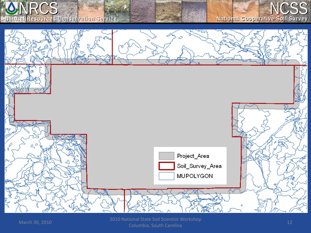



nonal State Soli Scientist Workshop<br>Columbia, South Carolina 12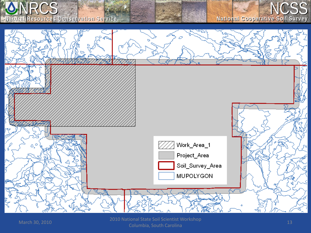



Columbia, South Carolina <sup>13</sup>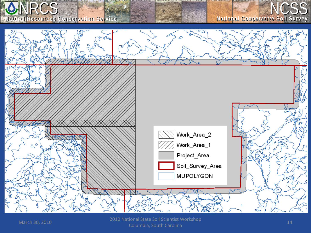



Columbia, South Carolina <sup>14</sup>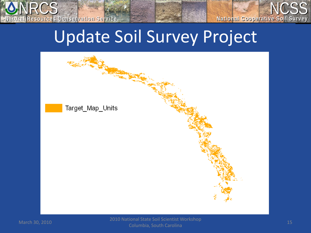# Update Soil Survey Project



**Natural Resources Conservation Service Natural Resources Conservation Service**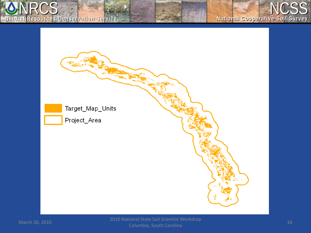

#### **National Cooperative Soil Survey National Cooperative Soil Survey**

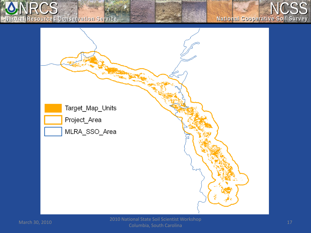

#### **National Cooperative Soil Survey National Cooperative Soil Survey**



Columbia, South Carolina <sup>17</sup>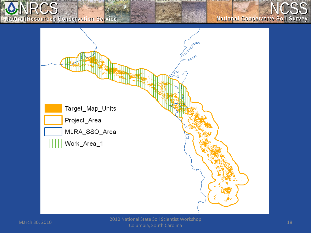NRCS NCSS **Natural Resources Conservation Service Natural Resources Conservation Service**

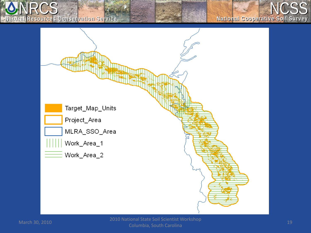NRCS NCSS **Natural Resources Conservation Service Natural Resources Conservation Service**

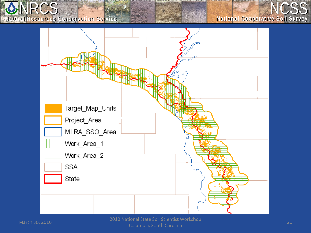

#### **National Cooperative Soil Survey National Cooperative Soil Survey**

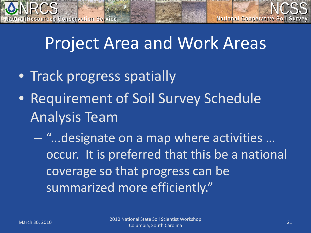

### Project Area and Work Areas

- Track progress spatially
- Requirement of Soil Survey Schedule Analysis Team
	- "...designate on a map where activities … occur. It is preferred that this be a national coverage so that progress can be summarized more efficiently."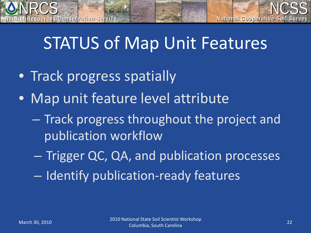# STATUS of Map Unit Features

• Track progress spatially

**Natural Resources Conservation Service Natural Resources Conservation Service**

- Map unit feature level attribute
	- Track progress throughout the project and publication workflow
	- Trigger QC, QA, and publication processes
	- Identify publication-ready features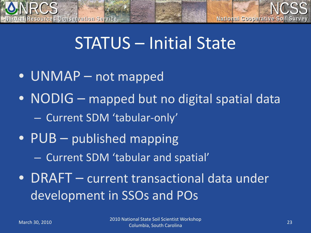

### STATUS – Initial State

- UNMAP not mapped
- NODIG mapped but no digital spatial data – Current SDM 'tabular-only'
- PUB published mapping
	- Current SDM 'tabular and spatial'
- DRAFT current transactional data under development in SSOs and POs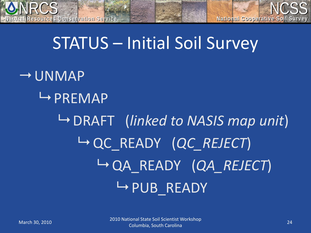

# STATUS – Initial Soil Survey

 $\rightarrow$  UNMAP  $\rightarrow$  PREMAP DRAFT (*linked to NASIS map unit*) **└ QC\_READY (***QC\_REJECT***)**  QA\_READY (*QA\_REJECT*) **HPUB\_READY**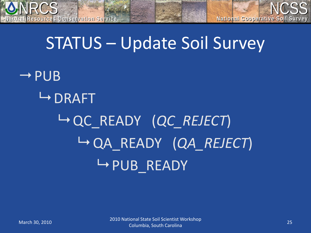

### STATUS – Update Soil Survey

 $\rightarrow$  PUB  $\rightarrow$  DRAFT QC\_READY (*QC\_REJECT*) QA\_READY (*QA\_REJECT*)  $\rightarrow$  PUB READY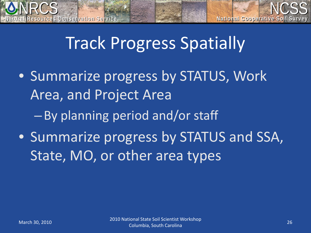

### Track Progress Spatially

- Summarize progress by STATUS, Work Area, and Project Area
	- By planning period and/or staff
- Summarize progress by STATUS and SSA, State, MO, or other area types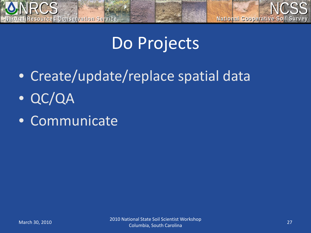

# Do Projects

- Create/update/replace spatial data
- QC/QA
- Communicate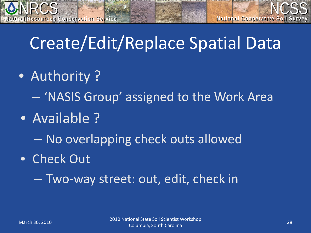

# Create/Edit/Replace Spatial Data

• Authority?

**Natural Resources Conservation Service Natural Resources Conservation Service**

- 'NASIS Group' assigned to the Work Area
- Available ?
	- No overlapping check outs allowed
- Check Out
	- Two-way street: out, edit, check in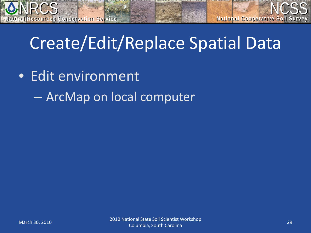

# Create/Edit/Replace Spatial Data

- Edit environment
	- ArcMap on local computer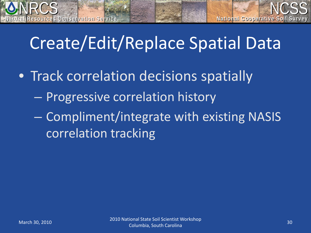

# Create/Edit/Replace Spatial Data

- Track correlation decisions spatially
	- Progressive correlation history
	- Compliment/integrate with existing NASIS correlation tracking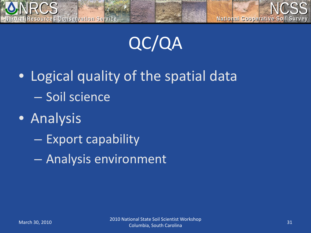

QC/QA

- Logical quality of the spatial data – Soil science
- Analysis
	- Export capability
	- Analysis environment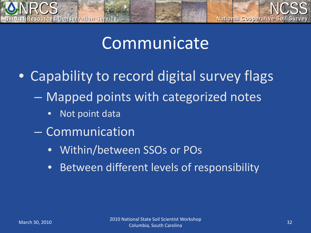

### Communicate

- Capability to record digital survey flags
	- Mapped points with categorized notes
		- Not point data
	- Communication
		- Within/between SSOs or POs
		- Between different levels of responsibility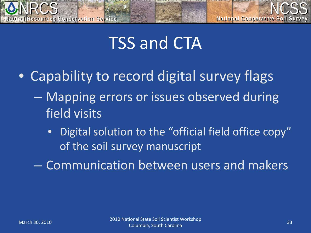

### TSS and CTA

- Capability to record digital survey flags
	- Mapping errors or issues observed during field visits
		- Digital solution to the "official field office copy" of the soil survey manuscript
	- Communication between users and makers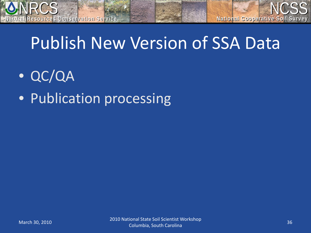

# Publish New Version of SSA Data

- QC/QA
- Publication processing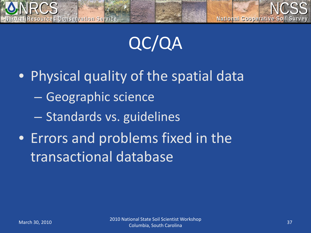

QC/QA

• Physical quality of the spatial data – Geographic science – Standards vs. guidelines • Errors and problems fixed in the transactional database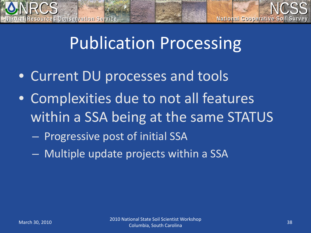

### Publication Processing

- Current DU processes and tools
- Complexities due to not all features within a SSA being at the same STATUS
	- Progressive post of initial SSA
	- Multiple update projects within a SSA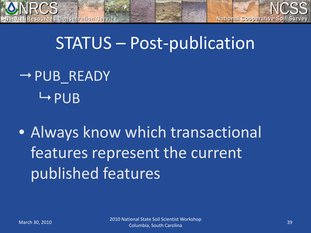

### STATUS – Post-publication

 $\rightarrow$  PUB\_READY  $\mapsto$ PUB

• Always know which transactional features represent the current published features